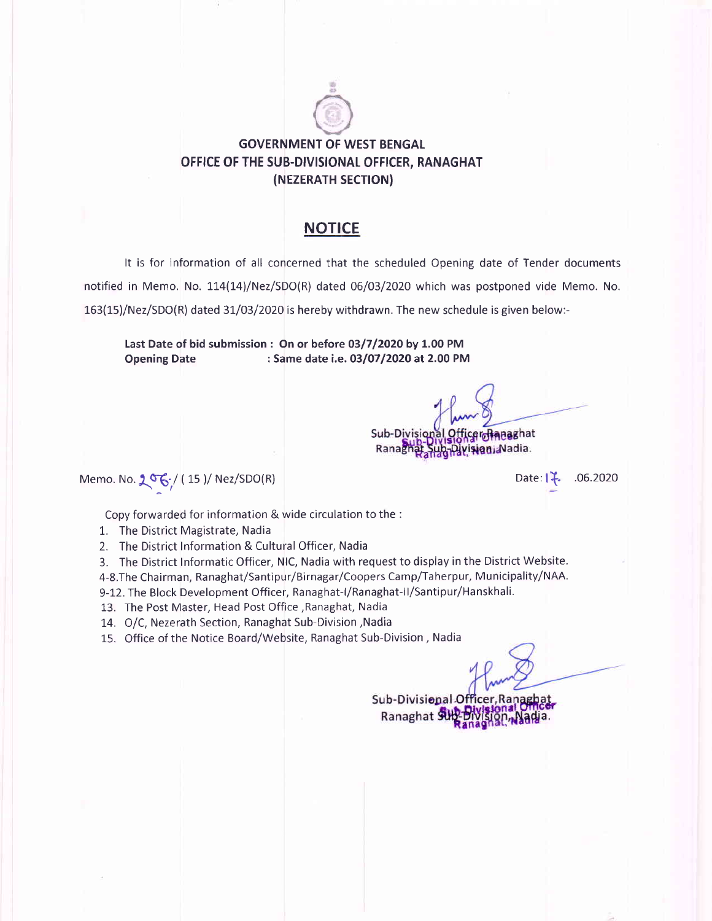# **GOVERNMENT OF WEST BENGAL** OFFICE OF THE SUB.DIVISIONAL OFFICER, RANAGHAT (NEZERATH SECTION)

## **NOTICE**

It is for information of all concerned that the scheduled Opening date of Tender documents notified in Memo. No. 11a(14)/Nez/SDO(R) dated 06/03/2020 which was postponed vide Memo. No. 163(15)/Nez/SDO(R) dated 31/03/2020 is hereby withdrawn. The new schedule is given below:-

Last Date of bid submission : On or before O3/7 /2O2O by 1.00 PM Opening Date : Same date i.e. 03/07/2020 at 2.00 PM

Sub-Divisional Officerofineaghat Ranagh Divisioni Nadia.

Memo. No.  $2^{\sigma}6/(15)/Nez/SDO(R)$  Date: l<sup>2</sup>. .06.2020

Copy forwarded for information & wide circulation to the :

- 1. The District Magistrate, Nadia
- 2. The District Information & Cultural Officer, Nadia

3. The District Informatic Officer, NlC, Nadia with request to display in the District Website. 4-8.The Chairman, Ranaghat/Santipur/Birnagar/Coopers Camp/Taherpur, Municipality/NAA.

- 9-12. The Block Development Officer, Ranaghat-l/Ranaghat-ll/Santipur/Hanskhali.
- 13. The Post Master, Head Post Office,Ranaghat, Nadia

14. O/C, Nezerath Section, Ranaghat Sub-Division ,Nadia

15. Office of the Notice Board/Website, Ranaghat Sub-Division , Nadia

Sub-Divisional Offi Ranaghat 9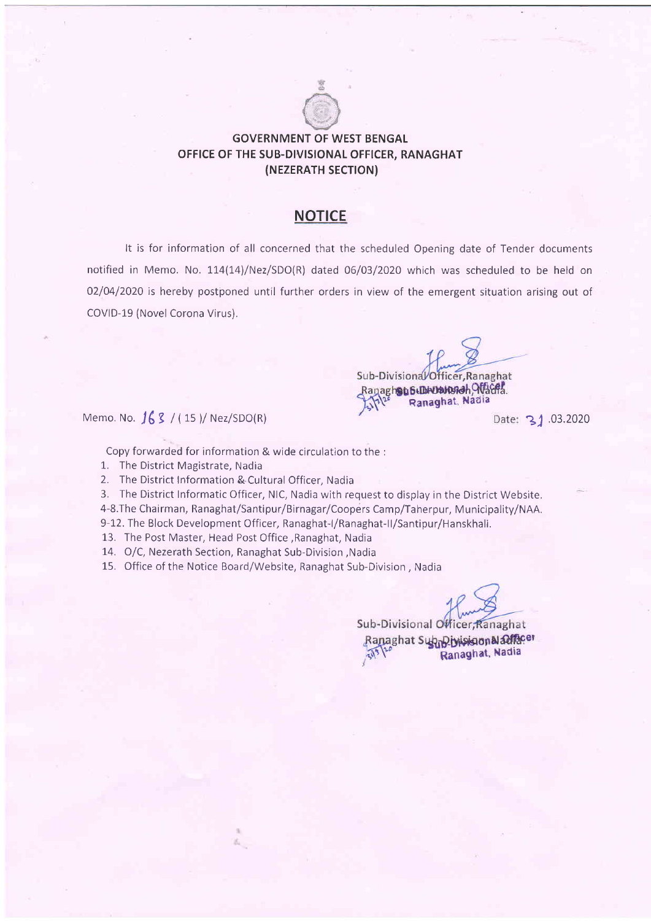

## GOVERNMENT OF WEST BENGAL OFFICE OF THE SUB-DIVISIONAL OFFICER, RANAGHAT (NEZERATH SECTION)

## **NOTICE**

It is for information of all concerned that the scheduled Opening date of Tender documents notified in Memo. No. 114(14)/Nez/SDO(R) dated 06/03/2020 which was scheduled to be held on 02/04/2020 is hereby postponed until further orders in view of the emergent situation arising out of COVID-19 (Novel Corona Virus).

Sub-Divisional Officer, Ranaghat Ranaghous GLINUSVERGH, AVACRA. Memo. No.  $163 / (15) /$  Nez/SDO(R) **Ranaghat, Nadia** Date: 31.03.2020

Sub-Divisional Officer, Ranaghat Ranaghat Supplyinision & alfacer

Ranaghat, Nadia

Copy forwarded for information & wide circulation to the :

- 1. The District Magistrate, Nadia
- 2. The District Information & Cultural Officer, Nadia
- 3. The District Informatic Officer, NlC, Nadia with request to display in the District Website,
- 4-8.The Chairman, Ranaghat/Santipur/Birnagar/Coopers Camp/Taherpur, Municipality/NAA.
- 9-12. The Block Development Officer, Ranaghat-I/Ranaghat-II/Santipur/Hanskhali.
- 13. The Post Master, Head Post Office ,Ranaghat, Nadia
- 14. O/C, Nezerath Section, Ranaghat Sub-Division ,Nadia
- 15. Office of the Notice Board/Website, Ranaghat Sub-Division , Nadia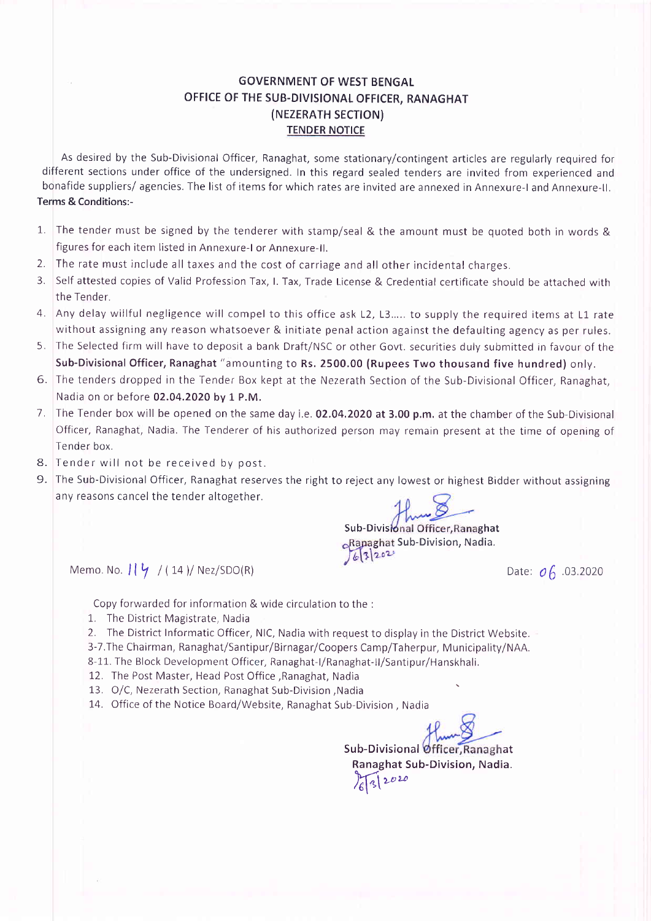### GOVERNMENT OF WEST BENGAL OFFICE OF THE SUB-DIVISIONAL OFFICER, RANAGHAT (NEZERATH SECTION) TENDER NOTICE

As desired by the Sub-Divisional Officer, Ranaghat, some stationary/contingent articles are regularly required for different sections under office of the undersigned. In this regard sealed tenders are invited from experienced and bonafide suppliers/ agencies. The list of items for which rates are invited are annexed in Annexure-l and Annexure-ll. Terms & Conditions:-

- L The tender must be signed by the tenderer with stamp/seal & the amount must be quoted both in words & figures for each item listed in Annexure-l or Annexure-ll.
- 2. The rate must include all taxes and the cost of carriage and all other incidental charges.
- 3. Self attested copies of Valid Profession Tax, l. Tax, Trade License & Credential certificate should be attached with the Tender.
- 4. Any delay willful negligence will compel to this office ask L2, t3..... to supply the required items at L1 rate without assigning any reason whatsoever & initiate penal action against the defaulting agency as per rules.
- 5. The Selected firm will have to deposit a bank Draft/NSC or other Govt. securities duly submitted in favour of the Sub-Divisional Officer, Ranaghat "amounting to Rs. 2500.00 (Rupees Two thousand five hundred) only.
- 6. The tenders dropped in the Tender Box kept at the Nezerath Section of the Sub-Divisional Officer, Ranaghat, Nadia on or before 02.04.2020 by 1 P.M.
- 7. The Tender box will be opened on the same day i.e. 02.04.2020 at 3.00 p.m. at the chamber of the Sub-Divisional Officer, Ranaghat, Nadia. The Tenderer of his authorized person may remain present at the time of opening of Tender box.
- 8. Tender will not be received by post.
- 9. The Sub-Divisional Officer, Ranaghat reserves the right to reject any lowest or highest Bidder without assigning any reasons cancel the tender altogether.

Sub-Divisional Officer, Ranaghat Rapaghat Sub-Division, Nadia.  $63202$ 

Memo. No.  $\iint \frac{\mu}{2} f(14) / \text{Nez/SDO(R)}$  .03.2020

Copy forwarded for information & wide circulation to the :

- 1. The District Magistrate, Nadia
- 2. The District Informatic Officer, NlC, Nadia with request to display in the District Website.
- 3-7.The Chairman, Ranaghat/Santipur/Birnagar/Coopers Camp/Taherpur, Municipality/NAA.
- 8-11. The Block Development Officer, Ranaghat-I/Ranaghat-II/Santipur/Hanskhali.
- 12. The Post Master, Head Post Office ,Ranaghat, Nadia
- 13. O/C, Nezerath Section, Ranaghat Sub-Division ,Nadia
- 14. Office of the Notice Board/Website, Ranaghat Sub-Division , Nadia

Sub-Divisional Officer, Ranaghat Ranaghat Sub-Division, Nadia.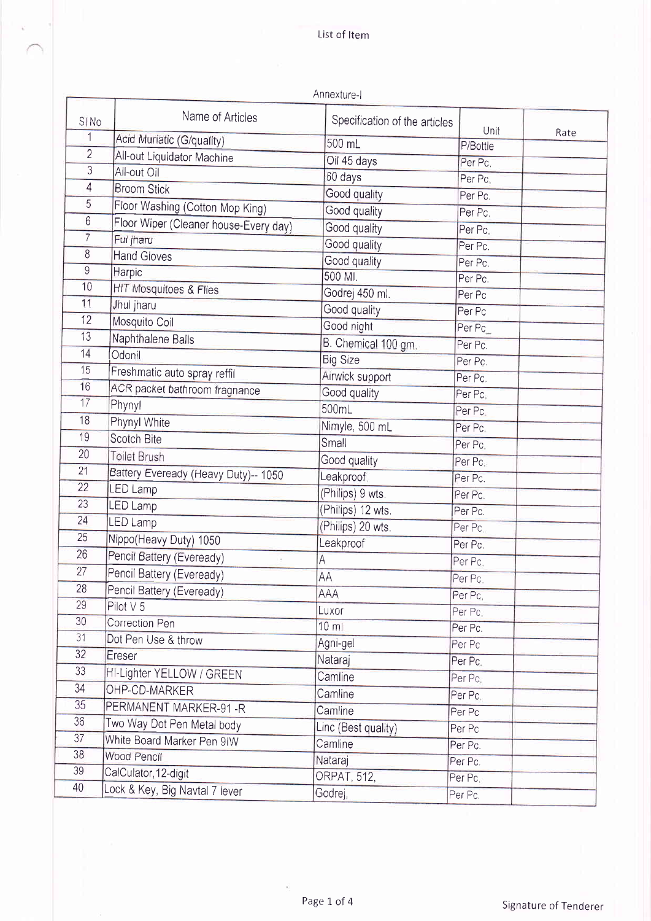|                  |                                       | Annexture-I                   |          |      |
|------------------|---------------------------------------|-------------------------------|----------|------|
| SI <sub>No</sub> | Name of Articles                      | Specification of the articles | Unit     | Rate |
| 1                | Acid Muriatic (G/quality)             | 500 mL                        | P/Bottle |      |
| $\overline{2}$   | All-out Liquidator Machine            | Oil 45 days                   | Per Pc.  |      |
| $\overline{3}$   | All-out Oil                           | 60 days                       | Per Pc.  |      |
| 4                | <b>Broom Stick</b>                    | Good quality                  | Per Pc.  |      |
| 5                | Floor Washing (Cotton Mop King)       | Good quality                  | Per Pc.  |      |
| $6\phantom{a}$   | Floor Wiper (Cleaner house-Every day) | Good quality                  | Per Pc.  |      |
| $\overline{7}$   | Ful jharu                             | Good quality                  | Per Pc.  |      |
| 8                | <b>Hand Gloves</b>                    | Good quality                  | Per Pc.  |      |
| $\mathsf g$      | Harpic                                | 500 MI.                       | Per Pc.  |      |
| 10               | HIT Mosquitoes & Flies                | Godrej 450 ml.                | Per Pc   |      |
| 11               | Jhul jharu                            | Good quality                  | Per Pc   |      |
| 12               | Mosquito Coil                         | Good night                    | Per Pc   |      |
| 13               | Naphthalene Balls                     | B. Chemical 100 gm.           | Per Pc.  |      |
| 14               | Odonil                                | <b>Big Size</b>               | Per Pc.  |      |
| 15               | Freshmatic auto spray reffil          | Airwick support               | Per Pc.  |      |
| 16               | ACR packet bathroom fragnance         | Good quality                  | Per Pc.  |      |
| 17               | Phynyl                                | 500mL                         | Per Pc.  |      |
| 18               | Phynyl White                          | Nimyle, 500 mL                | Per Pc.  |      |
| 19               | <b>Scotch Bite</b>                    | Small                         | Per Pc.  |      |
| 20               | <b>Toilet Brush</b>                   | Good quality                  | Per Pc.  |      |
| 21               | Battery Eveready (Heavy Duty)-- 1050  | Leakproof.                    | Per Pc.  |      |
| 22               | LED Lamp                              | (Philips) 9 wts.              | Per Pc.  |      |
| 23               | <b>LED Lamp</b>                       | (Philips) 12 wts.             | Per Pc.  |      |
| 24               | <b>LED Lamp</b>                       | (Philips) 20 wts.             | Per Pc.  |      |
| 25               | Nippo(Heavy Duty) 1050                | Leakproof                     | Per Pc.  |      |
| 26               | Pencil Battery (Eveready)             | $\overline{A}$                | Per Pc.  |      |
| 27               | Pencil Battery (Eveready)             | <b>AA</b>                     | Per Pc.  |      |
| 28               | Pencil Battery (Eveready)             | AAA                           | Per Pc.  |      |
| 29               | Pilot V 5                             | <b>Luxor</b>                  | Per Pc.  |      |
| 30               | Correction Pen                        | $10$ ml                       | Per Pc.  |      |
| 31               | Dot Pen Use & throw                   | Agni-gel                      | Per Pc   |      |
| 32 <sup>°</sup>  | Ereser                                | Nataraj                       | Per Pc.  |      |
| 33               | HI-Lighter YELLOW / GREEN             | Camline                       | Per Pc.  |      |
| 34               | OHP-CD-MARKER                         | Camline                       | Per Pc.  |      |
| 35               | PERMANENT MARKER-91-R                 | Camline                       | Per Pc   |      |
| 36               | Two Way Dot Pen Metal body            | Linc (Best quality)           | Per Pc   |      |
| 37               | White Board Marker Pen 9IW            | Camline                       | Per Pc.  |      |
| 38               | Wood Pencil                           | Nataraj                       | Per Pc.  |      |
| 39               | CalCulator, 12-digit                  | <b>ORPAT, 512,</b>            | Per Pc.  |      |
| 40               | Lock & Key, Big Navtal 7 lever        | Godrej,                       | Per Pc.  |      |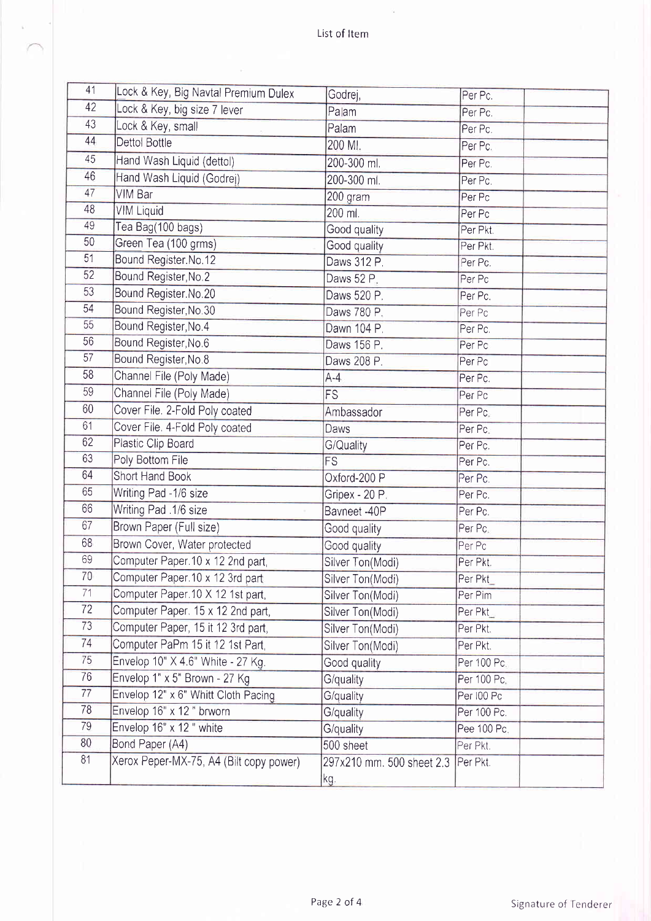$\tilde{\alpha}$ 

| Lock & Key, big size 7 lever<br>Palam<br>Per Pc.<br>43<br>Lock & Key, small<br>Palam<br>Per Pc.<br>44<br>Dettol Bottle<br>200 MI.<br>Per Pc.<br>45<br>Hand Wash Liquid (dettol)<br>200-300 ml.<br>Per Pc.<br>46<br>Hand Wash Liquid (Godrej)<br>200-300 ml.<br>Per Pc.<br>47<br><b>VIM Bar</b><br>200 gram<br>Per Pc<br>48<br><b>VIM Liquid</b><br>200 ml.<br>Per Pc<br>49<br>Tea Bag(100 bags)<br>Good quality<br>Per Pkt.<br>50<br>Green Tea (100 grms)<br>Good quality<br>Per Pkt.<br>51<br>Bound Register. No. 12<br>Daws 312 P.<br>Per Pc.<br>52<br>Bound Register, No. 2<br>Daws 52 P.<br>Per Pc<br>53<br>Bound Register.No.20<br>Daws 520 P.<br>Per Pc.<br>54<br>Bound Register, No. 30<br>Daws 780 P.<br>Per Pc<br>55<br>Bound Register, No.4<br>Dawn 104 P.<br>Per Pc.<br>56<br>Bound Register, No.6<br>Daws 156 P.<br>Per Pc<br>57<br>Bound Register, No.8<br>Daws 208 P.<br>Per Pc<br>58<br>Channel File (Poly Made)<br>$A-4$<br>Per Pc.<br>59<br>Channel File (Poly Made)<br><b>FS</b><br>Per Pc<br>60<br>Cover File. 2-Fold Poly coated<br>Ambassador<br>Per Pc.<br>61<br>Cover File. 4-Fold Poly coated<br>Daws<br>Per Pc.<br>62<br>Plastic Clip Board<br>G/Quality<br>Per Pc.<br>63<br>Poly Bottom File<br>FS<br>Per Pc.<br>64<br>Short Hand Book<br>Oxford-200 P<br>Per Pc.<br>65<br>Writing Pad -1/6 size<br>Gripex - 20 P.<br>Per Pc.<br>66<br>Writing Pad .1/6 size<br>Bavneet - 40P<br>Per Pc.<br>67<br>Brown Paper (Full size)<br>Good quality<br>Per Pc.<br>68<br>Brown Cover, Water protected<br>Good quality<br>Per Pc<br>69<br>Computer Paper.10 x 12 2nd part,<br>Silver Ton(Modi)<br>Per Pkt.<br>70<br>Computer Paper. 10 x 12 3rd part<br>Silver Ton(Modi)<br>Per Pkt<br>71<br>Computer Paper.10 X 12 1st part,<br>Silver Ton(Modi)<br>Per Pim<br>72<br>Computer Paper. 15 x 12 2nd part,<br>Per Pkt<br>Silver Ton(Modi)<br>73<br>Computer Paper, 15 it 12 3rd part,<br>Silver Ton(Modi)<br>Per Pkt.<br>74<br>Computer PaPm 15 it 12 1st Part,<br>Per Pkt.<br>Silver Ton(Modi)<br>75<br>Envelop 10" X 4.6" White - 27 Kg.<br>Per 100 Pc.<br>Good quality<br>76<br>Envelop 1" x 5" Brown - 27 Kg<br>G/quality<br>Per 100 Pc.<br>77<br>Envelop 12" x 6" Whitt Cloth Pacing<br>G/quality<br>Per 100 Pc<br>78<br>Envelop 16" x 12 " brworn<br>G/quality<br>Per 100 Pc.<br>79<br>Envelop 16" x 12 " white<br>G/quality<br>Pee 100 Pc.<br>80<br>Bond Paper (A4)<br>500 sheet<br>Per Pkt.<br>81<br>Xerox Peper-MX-75, A4 (Bilt copy power)<br>297x210 mm. 500 sheet 2.3<br>Per Pkt.<br>kg. | 41 | Lock & Key, Big Navtal Premium Dulex | Godrej, | Per Pc. |
|-----------------------------------------------------------------------------------------------------------------------------------------------------------------------------------------------------------------------------------------------------------------------------------------------------------------------------------------------------------------------------------------------------------------------------------------------------------------------------------------------------------------------------------------------------------------------------------------------------------------------------------------------------------------------------------------------------------------------------------------------------------------------------------------------------------------------------------------------------------------------------------------------------------------------------------------------------------------------------------------------------------------------------------------------------------------------------------------------------------------------------------------------------------------------------------------------------------------------------------------------------------------------------------------------------------------------------------------------------------------------------------------------------------------------------------------------------------------------------------------------------------------------------------------------------------------------------------------------------------------------------------------------------------------------------------------------------------------------------------------------------------------------------------------------------------------------------------------------------------------------------------------------------------------------------------------------------------------------------------------------------------------------------------------------------------------------------------------------------------------------------------------------------------------------------------------------------------------------------------------------------------------------------------------------------------------------------------------------------------------------------------------------------------------------------------------------------------------------------------------------------------------|----|--------------------------------------|---------|---------|
|                                                                                                                                                                                                                                                                                                                                                                                                                                                                                                                                                                                                                                                                                                                                                                                                                                                                                                                                                                                                                                                                                                                                                                                                                                                                                                                                                                                                                                                                                                                                                                                                                                                                                                                                                                                                                                                                                                                                                                                                                                                                                                                                                                                                                                                                                                                                                                                                                                                                                                                 | 42 |                                      |         |         |
|                                                                                                                                                                                                                                                                                                                                                                                                                                                                                                                                                                                                                                                                                                                                                                                                                                                                                                                                                                                                                                                                                                                                                                                                                                                                                                                                                                                                                                                                                                                                                                                                                                                                                                                                                                                                                                                                                                                                                                                                                                                                                                                                                                                                                                                                                                                                                                                                                                                                                                                 |    |                                      |         |         |
|                                                                                                                                                                                                                                                                                                                                                                                                                                                                                                                                                                                                                                                                                                                                                                                                                                                                                                                                                                                                                                                                                                                                                                                                                                                                                                                                                                                                                                                                                                                                                                                                                                                                                                                                                                                                                                                                                                                                                                                                                                                                                                                                                                                                                                                                                                                                                                                                                                                                                                                 |    |                                      |         |         |
|                                                                                                                                                                                                                                                                                                                                                                                                                                                                                                                                                                                                                                                                                                                                                                                                                                                                                                                                                                                                                                                                                                                                                                                                                                                                                                                                                                                                                                                                                                                                                                                                                                                                                                                                                                                                                                                                                                                                                                                                                                                                                                                                                                                                                                                                                                                                                                                                                                                                                                                 |    |                                      |         |         |
|                                                                                                                                                                                                                                                                                                                                                                                                                                                                                                                                                                                                                                                                                                                                                                                                                                                                                                                                                                                                                                                                                                                                                                                                                                                                                                                                                                                                                                                                                                                                                                                                                                                                                                                                                                                                                                                                                                                                                                                                                                                                                                                                                                                                                                                                                                                                                                                                                                                                                                                 |    |                                      |         |         |
|                                                                                                                                                                                                                                                                                                                                                                                                                                                                                                                                                                                                                                                                                                                                                                                                                                                                                                                                                                                                                                                                                                                                                                                                                                                                                                                                                                                                                                                                                                                                                                                                                                                                                                                                                                                                                                                                                                                                                                                                                                                                                                                                                                                                                                                                                                                                                                                                                                                                                                                 |    |                                      |         |         |
|                                                                                                                                                                                                                                                                                                                                                                                                                                                                                                                                                                                                                                                                                                                                                                                                                                                                                                                                                                                                                                                                                                                                                                                                                                                                                                                                                                                                                                                                                                                                                                                                                                                                                                                                                                                                                                                                                                                                                                                                                                                                                                                                                                                                                                                                                                                                                                                                                                                                                                                 |    |                                      |         |         |
|                                                                                                                                                                                                                                                                                                                                                                                                                                                                                                                                                                                                                                                                                                                                                                                                                                                                                                                                                                                                                                                                                                                                                                                                                                                                                                                                                                                                                                                                                                                                                                                                                                                                                                                                                                                                                                                                                                                                                                                                                                                                                                                                                                                                                                                                                                                                                                                                                                                                                                                 |    |                                      |         |         |
|                                                                                                                                                                                                                                                                                                                                                                                                                                                                                                                                                                                                                                                                                                                                                                                                                                                                                                                                                                                                                                                                                                                                                                                                                                                                                                                                                                                                                                                                                                                                                                                                                                                                                                                                                                                                                                                                                                                                                                                                                                                                                                                                                                                                                                                                                                                                                                                                                                                                                                                 |    |                                      |         |         |
|                                                                                                                                                                                                                                                                                                                                                                                                                                                                                                                                                                                                                                                                                                                                                                                                                                                                                                                                                                                                                                                                                                                                                                                                                                                                                                                                                                                                                                                                                                                                                                                                                                                                                                                                                                                                                                                                                                                                                                                                                                                                                                                                                                                                                                                                                                                                                                                                                                                                                                                 |    |                                      |         |         |
|                                                                                                                                                                                                                                                                                                                                                                                                                                                                                                                                                                                                                                                                                                                                                                                                                                                                                                                                                                                                                                                                                                                                                                                                                                                                                                                                                                                                                                                                                                                                                                                                                                                                                                                                                                                                                                                                                                                                                                                                                                                                                                                                                                                                                                                                                                                                                                                                                                                                                                                 |    |                                      |         |         |
|                                                                                                                                                                                                                                                                                                                                                                                                                                                                                                                                                                                                                                                                                                                                                                                                                                                                                                                                                                                                                                                                                                                                                                                                                                                                                                                                                                                                                                                                                                                                                                                                                                                                                                                                                                                                                                                                                                                                                                                                                                                                                                                                                                                                                                                                                                                                                                                                                                                                                                                 |    |                                      |         |         |
|                                                                                                                                                                                                                                                                                                                                                                                                                                                                                                                                                                                                                                                                                                                                                                                                                                                                                                                                                                                                                                                                                                                                                                                                                                                                                                                                                                                                                                                                                                                                                                                                                                                                                                                                                                                                                                                                                                                                                                                                                                                                                                                                                                                                                                                                                                                                                                                                                                                                                                                 |    |                                      |         |         |
|                                                                                                                                                                                                                                                                                                                                                                                                                                                                                                                                                                                                                                                                                                                                                                                                                                                                                                                                                                                                                                                                                                                                                                                                                                                                                                                                                                                                                                                                                                                                                                                                                                                                                                                                                                                                                                                                                                                                                                                                                                                                                                                                                                                                                                                                                                                                                                                                                                                                                                                 |    |                                      |         |         |
|                                                                                                                                                                                                                                                                                                                                                                                                                                                                                                                                                                                                                                                                                                                                                                                                                                                                                                                                                                                                                                                                                                                                                                                                                                                                                                                                                                                                                                                                                                                                                                                                                                                                                                                                                                                                                                                                                                                                                                                                                                                                                                                                                                                                                                                                                                                                                                                                                                                                                                                 |    |                                      |         |         |
|                                                                                                                                                                                                                                                                                                                                                                                                                                                                                                                                                                                                                                                                                                                                                                                                                                                                                                                                                                                                                                                                                                                                                                                                                                                                                                                                                                                                                                                                                                                                                                                                                                                                                                                                                                                                                                                                                                                                                                                                                                                                                                                                                                                                                                                                                                                                                                                                                                                                                                                 |    |                                      |         |         |
|                                                                                                                                                                                                                                                                                                                                                                                                                                                                                                                                                                                                                                                                                                                                                                                                                                                                                                                                                                                                                                                                                                                                                                                                                                                                                                                                                                                                                                                                                                                                                                                                                                                                                                                                                                                                                                                                                                                                                                                                                                                                                                                                                                                                                                                                                                                                                                                                                                                                                                                 |    |                                      |         |         |
|                                                                                                                                                                                                                                                                                                                                                                                                                                                                                                                                                                                                                                                                                                                                                                                                                                                                                                                                                                                                                                                                                                                                                                                                                                                                                                                                                                                                                                                                                                                                                                                                                                                                                                                                                                                                                                                                                                                                                                                                                                                                                                                                                                                                                                                                                                                                                                                                                                                                                                                 |    |                                      |         |         |
|                                                                                                                                                                                                                                                                                                                                                                                                                                                                                                                                                                                                                                                                                                                                                                                                                                                                                                                                                                                                                                                                                                                                                                                                                                                                                                                                                                                                                                                                                                                                                                                                                                                                                                                                                                                                                                                                                                                                                                                                                                                                                                                                                                                                                                                                                                                                                                                                                                                                                                                 |    |                                      |         |         |
|                                                                                                                                                                                                                                                                                                                                                                                                                                                                                                                                                                                                                                                                                                                                                                                                                                                                                                                                                                                                                                                                                                                                                                                                                                                                                                                                                                                                                                                                                                                                                                                                                                                                                                                                                                                                                                                                                                                                                                                                                                                                                                                                                                                                                                                                                                                                                                                                                                                                                                                 |    |                                      |         |         |
|                                                                                                                                                                                                                                                                                                                                                                                                                                                                                                                                                                                                                                                                                                                                                                                                                                                                                                                                                                                                                                                                                                                                                                                                                                                                                                                                                                                                                                                                                                                                                                                                                                                                                                                                                                                                                                                                                                                                                                                                                                                                                                                                                                                                                                                                                                                                                                                                                                                                                                                 |    |                                      |         |         |
|                                                                                                                                                                                                                                                                                                                                                                                                                                                                                                                                                                                                                                                                                                                                                                                                                                                                                                                                                                                                                                                                                                                                                                                                                                                                                                                                                                                                                                                                                                                                                                                                                                                                                                                                                                                                                                                                                                                                                                                                                                                                                                                                                                                                                                                                                                                                                                                                                                                                                                                 |    |                                      |         |         |
|                                                                                                                                                                                                                                                                                                                                                                                                                                                                                                                                                                                                                                                                                                                                                                                                                                                                                                                                                                                                                                                                                                                                                                                                                                                                                                                                                                                                                                                                                                                                                                                                                                                                                                                                                                                                                                                                                                                                                                                                                                                                                                                                                                                                                                                                                                                                                                                                                                                                                                                 |    |                                      |         |         |
|                                                                                                                                                                                                                                                                                                                                                                                                                                                                                                                                                                                                                                                                                                                                                                                                                                                                                                                                                                                                                                                                                                                                                                                                                                                                                                                                                                                                                                                                                                                                                                                                                                                                                                                                                                                                                                                                                                                                                                                                                                                                                                                                                                                                                                                                                                                                                                                                                                                                                                                 |    |                                      |         |         |
|                                                                                                                                                                                                                                                                                                                                                                                                                                                                                                                                                                                                                                                                                                                                                                                                                                                                                                                                                                                                                                                                                                                                                                                                                                                                                                                                                                                                                                                                                                                                                                                                                                                                                                                                                                                                                                                                                                                                                                                                                                                                                                                                                                                                                                                                                                                                                                                                                                                                                                                 |    |                                      |         |         |
|                                                                                                                                                                                                                                                                                                                                                                                                                                                                                                                                                                                                                                                                                                                                                                                                                                                                                                                                                                                                                                                                                                                                                                                                                                                                                                                                                                                                                                                                                                                                                                                                                                                                                                                                                                                                                                                                                                                                                                                                                                                                                                                                                                                                                                                                                                                                                                                                                                                                                                                 |    |                                      |         |         |
|                                                                                                                                                                                                                                                                                                                                                                                                                                                                                                                                                                                                                                                                                                                                                                                                                                                                                                                                                                                                                                                                                                                                                                                                                                                                                                                                                                                                                                                                                                                                                                                                                                                                                                                                                                                                                                                                                                                                                                                                                                                                                                                                                                                                                                                                                                                                                                                                                                                                                                                 |    |                                      |         |         |
|                                                                                                                                                                                                                                                                                                                                                                                                                                                                                                                                                                                                                                                                                                                                                                                                                                                                                                                                                                                                                                                                                                                                                                                                                                                                                                                                                                                                                                                                                                                                                                                                                                                                                                                                                                                                                                                                                                                                                                                                                                                                                                                                                                                                                                                                                                                                                                                                                                                                                                                 |    |                                      |         |         |
|                                                                                                                                                                                                                                                                                                                                                                                                                                                                                                                                                                                                                                                                                                                                                                                                                                                                                                                                                                                                                                                                                                                                                                                                                                                                                                                                                                                                                                                                                                                                                                                                                                                                                                                                                                                                                                                                                                                                                                                                                                                                                                                                                                                                                                                                                                                                                                                                                                                                                                                 |    |                                      |         |         |
|                                                                                                                                                                                                                                                                                                                                                                                                                                                                                                                                                                                                                                                                                                                                                                                                                                                                                                                                                                                                                                                                                                                                                                                                                                                                                                                                                                                                                                                                                                                                                                                                                                                                                                                                                                                                                                                                                                                                                                                                                                                                                                                                                                                                                                                                                                                                                                                                                                                                                                                 |    |                                      |         |         |
|                                                                                                                                                                                                                                                                                                                                                                                                                                                                                                                                                                                                                                                                                                                                                                                                                                                                                                                                                                                                                                                                                                                                                                                                                                                                                                                                                                                                                                                                                                                                                                                                                                                                                                                                                                                                                                                                                                                                                                                                                                                                                                                                                                                                                                                                                                                                                                                                                                                                                                                 |    |                                      |         |         |
|                                                                                                                                                                                                                                                                                                                                                                                                                                                                                                                                                                                                                                                                                                                                                                                                                                                                                                                                                                                                                                                                                                                                                                                                                                                                                                                                                                                                                                                                                                                                                                                                                                                                                                                                                                                                                                                                                                                                                                                                                                                                                                                                                                                                                                                                                                                                                                                                                                                                                                                 |    |                                      |         |         |
|                                                                                                                                                                                                                                                                                                                                                                                                                                                                                                                                                                                                                                                                                                                                                                                                                                                                                                                                                                                                                                                                                                                                                                                                                                                                                                                                                                                                                                                                                                                                                                                                                                                                                                                                                                                                                                                                                                                                                                                                                                                                                                                                                                                                                                                                                                                                                                                                                                                                                                                 |    |                                      |         |         |
|                                                                                                                                                                                                                                                                                                                                                                                                                                                                                                                                                                                                                                                                                                                                                                                                                                                                                                                                                                                                                                                                                                                                                                                                                                                                                                                                                                                                                                                                                                                                                                                                                                                                                                                                                                                                                                                                                                                                                                                                                                                                                                                                                                                                                                                                                                                                                                                                                                                                                                                 |    |                                      |         |         |
|                                                                                                                                                                                                                                                                                                                                                                                                                                                                                                                                                                                                                                                                                                                                                                                                                                                                                                                                                                                                                                                                                                                                                                                                                                                                                                                                                                                                                                                                                                                                                                                                                                                                                                                                                                                                                                                                                                                                                                                                                                                                                                                                                                                                                                                                                                                                                                                                                                                                                                                 |    |                                      |         |         |
|                                                                                                                                                                                                                                                                                                                                                                                                                                                                                                                                                                                                                                                                                                                                                                                                                                                                                                                                                                                                                                                                                                                                                                                                                                                                                                                                                                                                                                                                                                                                                                                                                                                                                                                                                                                                                                                                                                                                                                                                                                                                                                                                                                                                                                                                                                                                                                                                                                                                                                                 |    |                                      |         |         |
|                                                                                                                                                                                                                                                                                                                                                                                                                                                                                                                                                                                                                                                                                                                                                                                                                                                                                                                                                                                                                                                                                                                                                                                                                                                                                                                                                                                                                                                                                                                                                                                                                                                                                                                                                                                                                                                                                                                                                                                                                                                                                                                                                                                                                                                                                                                                                                                                                                                                                                                 |    |                                      |         |         |
|                                                                                                                                                                                                                                                                                                                                                                                                                                                                                                                                                                                                                                                                                                                                                                                                                                                                                                                                                                                                                                                                                                                                                                                                                                                                                                                                                                                                                                                                                                                                                                                                                                                                                                                                                                                                                                                                                                                                                                                                                                                                                                                                                                                                                                                                                                                                                                                                                                                                                                                 |    |                                      |         |         |
|                                                                                                                                                                                                                                                                                                                                                                                                                                                                                                                                                                                                                                                                                                                                                                                                                                                                                                                                                                                                                                                                                                                                                                                                                                                                                                                                                                                                                                                                                                                                                                                                                                                                                                                                                                                                                                                                                                                                                                                                                                                                                                                                                                                                                                                                                                                                                                                                                                                                                                                 |    |                                      |         |         |
|                                                                                                                                                                                                                                                                                                                                                                                                                                                                                                                                                                                                                                                                                                                                                                                                                                                                                                                                                                                                                                                                                                                                                                                                                                                                                                                                                                                                                                                                                                                                                                                                                                                                                                                                                                                                                                                                                                                                                                                                                                                                                                                                                                                                                                                                                                                                                                                                                                                                                                                 |    |                                      |         |         |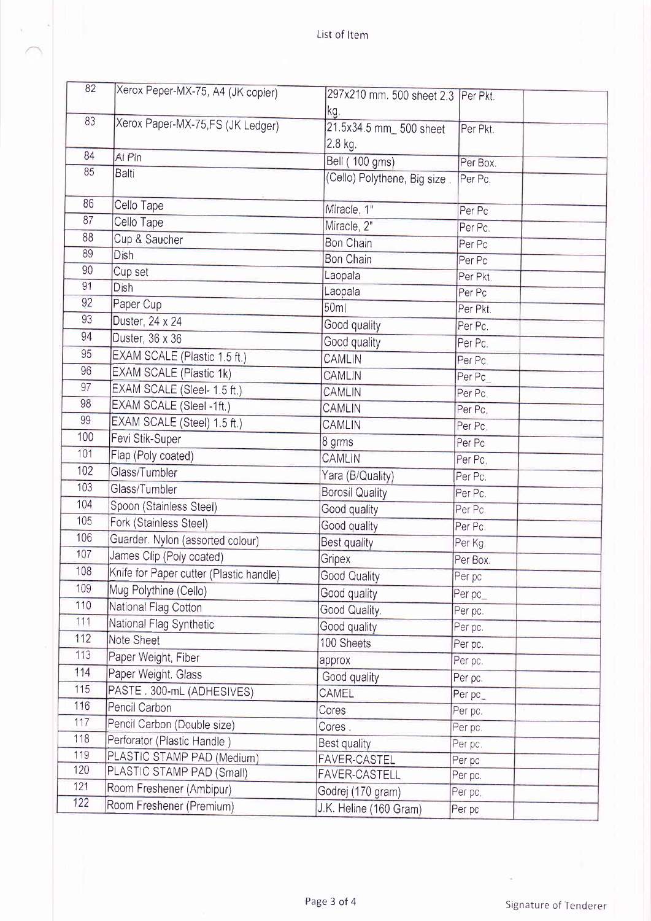à,

| 82  | Xerox Peper-MX-75, A4 (JK copier)       | 297x210 mm. 500 sheet 2.3   Per Pkt. |          |
|-----|-----------------------------------------|--------------------------------------|----------|
|     |                                         | kg.                                  |          |
| 83  | Xerox Paper-MX-75, FS (JK Ledger)       | 21.5x34.5 mm_ 500 sheet              | Per Pkt. |
|     |                                         | 2.8 kg.                              |          |
| 84  | Al Pin                                  | Bell (100 gms)                       | Per Box. |
| 85  | Balti                                   | (Cello) Polythene, Big size.         | Per Pc.  |
|     |                                         |                                      |          |
| 86  | Cello Tape                              | Miracle, 1"                          | Per Pc   |
| 87  | Cello Tape                              | Miracle, 2"                          | Per Pc.  |
| 88  | Cup & Saucher                           | <b>Bon Chain</b>                     | Per Pc   |
| 89  | Dish                                    | Bon Chain                            | Per Pc   |
| 90  | Cup set                                 | Laopala                              | Per Pkt. |
| 91  | Dish                                    | Laopala                              | Per Pc   |
| 92  | Paper Cup                               | 50 <sub>m</sub>                      | Per Pkt. |
| 93  | Duster, 24 x 24                         | Good quality                         | Per Pc.  |
| 94  | Duster, 36 x 36                         | Good quality                         | Per Pc.  |
| 95  | EXAM SCALE (Plastic 1.5 ft.)            | <b>CAMLIN</b>                        | Per Pc.  |
| 96  | EXAM SCALE (Plastic 1k)                 | CAMLIN                               | Per Pc   |
| 97  | EXAM SCALE (Sleel- 1.5 ft.)             | CAMLIN                               | Per Pc.  |
| 98  | EXAM SCALE (Sleel -1ft.)                | <b>CAMLIN</b>                        | Per Pc.  |
| 99  | EXAM SCALE (Steel) 1.5 ft.)             | <b>CAMLIN</b>                        | Per Pc.  |
| 100 | Fevi Stik-Super                         | 8 grms                               | Per Pc   |
| 101 | Flap (Poly coated)                      | <b>CAMLIN</b>                        | Per Pc.  |
| 102 | Glass/Tumbler                           | Yara (B/Quality)                     | Per Pc.  |
| 103 | Glass/Tumbler                           | <b>Borosil Quality</b>               | Per Pc.  |
| 104 | Spoon (Stainless Steel)                 | Good quality                         | Per Pc.  |
| 105 | Fork (Stainless Steel)                  | Good quality                         | Per Pc.  |
| 106 | Guarder. Nylon (assorted colour)        | Best quality                         | Per Kg.  |
| 107 | James Clip (Poly coated)                | Gripex                               | Per Box. |
| 108 | Knife for Paper cutter (Plastic handle) | Good Quality                         | Per pc   |
| 109 | Mug Polythine (Cello)                   | Good quality                         | Per pc_  |
| 110 | National Flag Cotton                    | Good Quality.                        | Per pc.  |
| 111 | National Flag Synthetic                 | Good quality                         | Per pc.  |
| 112 | Note Sheet                              | 100 Sheets                           | Per pc.  |
| 113 | Paper Weight, Fiber                     | approx                               | Per pc.  |
| 114 | Paper Weight. Glass                     | Good quality                         | Per pc.  |
| 115 | PASTE. 300-mL (ADHESIVES)               | CAMEL                                | Per pc_  |
| 116 | Pencil Carbon                           | Cores                                | Per pc.  |
| 117 | Pencil Carbon (Double size)             | Cores.                               | Per pc.  |
| 118 | Perforator (Plastic Handle)             | Best quality                         | Per pc.  |
| 119 | PLASTIC STAMP PAD (Medium)              | <b>FAVER-CASTEL</b>                  | Per pc   |
| 120 | PLASTIC STAMP PAD (Small)               | FAVER-CASTELL                        | Per pc.  |
| 121 | Room Freshener (Ambipur)                | Godrej (170 gram)                    | Per pc.  |
| 122 | Room Freshener (Premium)                | J.K. Heline (160 Gram)               | Per pc   |

 $\frac{1}{2}$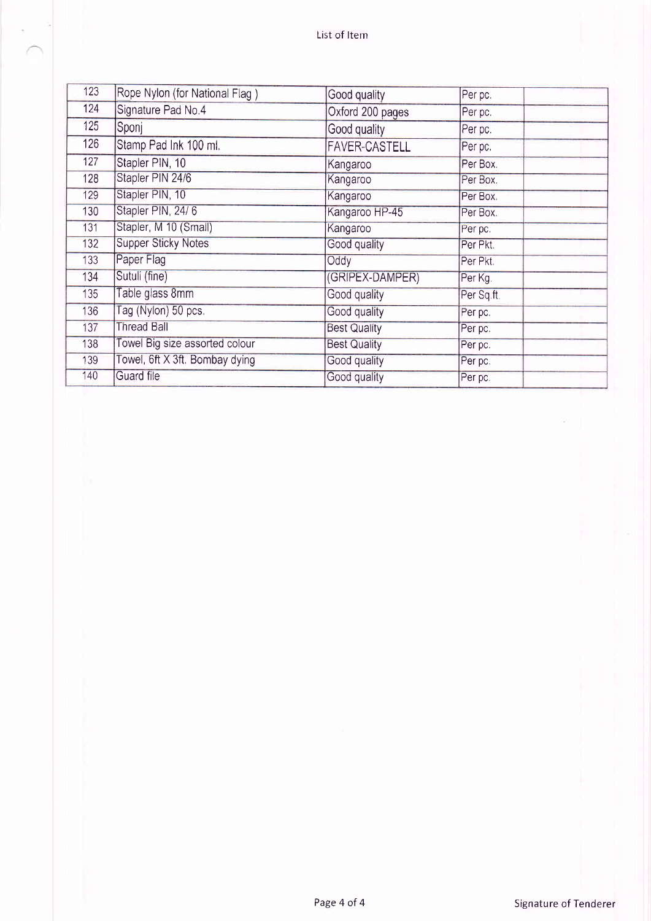| 123 | Rope Nylon (for National Flag) | Good quality         | Per pc.    |
|-----|--------------------------------|----------------------|------------|
| 124 | Signature Pad No.4             | Oxford 200 pages     | Per pc.    |
| 125 | Sponj                          | Good quality         | Per pc.    |
| 126 | Stamp Pad Ink 100 ml.          | <b>FAVER-CASTELL</b> | Per pc.    |
| 127 | Stapler PIN, 10                | Kangaroo             | Per Box.   |
| 128 | Stapler PIN 24/6               | Kangaroo             | Per Box.   |
| 129 | Stapler PIN, 10                | Kangaroo             | Per Box.   |
| 130 | Stapler PIN, 24/6              | Kangaroo HP-45       | Per Box.   |
| 131 | Stapler, M 10 (Small)          | Kangaroo             | Per pc.    |
| 132 | <b>Supper Sticky Notes</b>     | Good quality         | Per Pkt.   |
| 133 | Paper Flag                     | Oddy                 | Per Pkt.   |
| 134 | Sutuli (fine)                  | (GRIPEX-DAMPER)      | Per Kg.    |
| 135 | Table glass 8mm                | Good quality         | Per Sq.ft. |
| 136 | Tag (Nylon) 50 pcs.            | Good quality         | Per pc.    |
| 137 | <b>Thread Ball</b>             | <b>Best Quality</b>  | Per pc.    |
| 138 | Towel Big size assorted colour | <b>Best Quality</b>  | Per pc.    |
| 139 | Towel, 6ft X 3ft. Bombay dying | Good quality         | Per pc.    |
| 140 | <b>Guard file</b>              | Good quality         | Per pc.    |